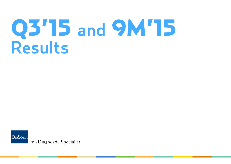# Q3'15 and 9M'15 Results

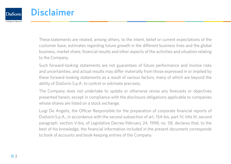

# Disclaimer

These statements are related, among others, to the intent, belief or current expectations of the customer base, estimates regarding future growth in the different business lines and the global business, market share, financial results and other aspects of the activities and situation relating to the Company.

Such forward-looking statements are not guarantees of future performance and involve risks and uncertainties, and actual results may differ materially from those expressed in or implied by these forward-looking statements as a result of various factors, many of which are beyond the ability of DiaSorin S.p.A. to control or estimate precisely.

The Company does not undertake to update or otherwise revise any forecasts or objectives presented herein, except in compliance with the disclosure obligations applicable to companies whose shares are listed on a stock exchange.

Luigi De Angelis, the Officer Responsible for the preparation of corporate financial reports of DiaSorin S.p.A., in accordance with the second subsection of art. 154-bis, part IV, title III, second paragraph, section V-bis, of Legislative Decree February 24, 1998, no. 58, declares that, to the best of his knowledge, the financial information included in the present document corresponds to book of accounts and book-keeping entries of the Company.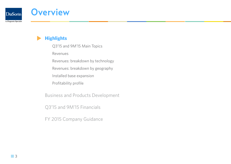

# **Overview**

**Highlights**

Q3'15 and 9M'15 Main Topics

Revenues

Revenues: breakdown by technology

Revenues: breakdown by geography

Installed base expansion

Profitability profile

Business and Products Development

Q3'15 and 9M'15 Financials

FY 2015 Company Guidance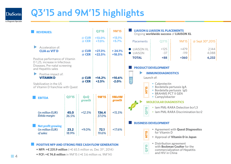### **DiaSorin** The Diagnostic Specialist

# Q3'15 and 9M'15 highlights

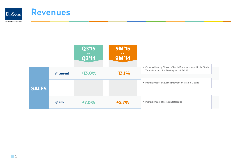

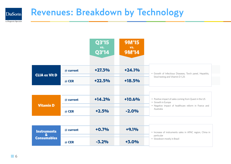### Revenues: Breakdown by Technology **DiaSorin**

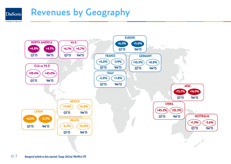### Revenues by Geography**DiaSorin**



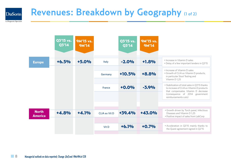### Revenues: Breakdown by Geography (1 of 2) **DiaSorin**

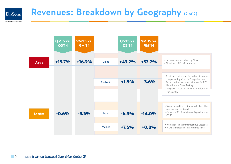### Revenues: Breakdown by Geography (2 of 2) **DiaSorin**

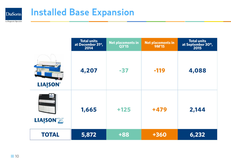

# Installed Base Expansion

|                 | <b>Total units</b><br>at December 31 <sup>st</sup> ,<br>2014 | <b>Net placements in</b><br>Q3'15 | <b>Net placements in</b><br><b>9M'15</b> | <b>Total units</b><br>at September 30 <sup>th</sup> ,<br>2015 |
|-----------------|--------------------------------------------------------------|-----------------------------------|------------------------------------------|---------------------------------------------------------------|
| <b>LIAISON®</b> | 4,207                                                        | $-37$                             | $-119$                                   | 4,088                                                         |
| <b>LIAISON®</b> | 1,665                                                        | $+125$                            | $+479$                                   | 2,144                                                         |
| <b>TOTAL</b>    | 5,872                                                        | +88                               | +360                                     | 6,232                                                         |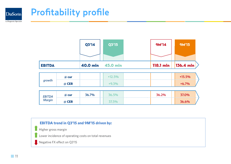

# Profitability profile

|               |       | Q3'14 | Q3'15             | <b>9M'14</b> | <b>9M'15</b>          |
|---------------|-------|-------|-------------------|--------------|-----------------------|
|               |       |       |                   |              |                       |
| <b>EBITDA</b> |       |       | 40.0 mln 45.0 mln | 118.1 mln    | $ 136.4 \text{ mln} $ |
|               | @ cur |       | $+12.5%$          |              | $+15.5%$              |
| growth        | @ CER |       | $+9.3%$           |              | $+6.7%$               |
| <b>EBITDA</b> | @ cur | 36.7% | 36.5%             | 36.2%        | 37.0%                 |
| <b>Margin</b> | @ CER |       | 37.5%             |              | 36.6%                 |

#### **EBITDA trend in Q3'15 and 9M'15 driven by:**

Higher gross margin

Lower incidence of operating costs on total revenues

Negative FX effect on Q3'15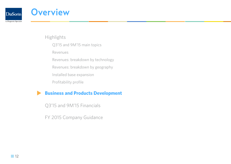

### **Overview**

**Highlights** 

Q3'15 and 9M'15 main topics

Revenues

Revenues: breakdown by technology

Revenues: breakdown by geography

Installed base expansion

Profitability profile

### **Business and Products Development**

Q3'15 and 9M'15 Financials

FY 2015 Company Guidance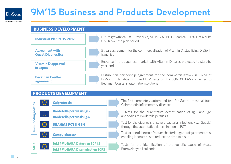

# 9M'15 Business and Products Development

The Diagnostic Specialist



#### **Products Development**



The first completely automated test for Gastro-Intestinal tract

2 tests for the quantitative determination of IgG and IgA antibodies to Bordetella pertussis

Test for the diagnosis of severe bacterial infections (e.g. Sepsis)

Test for one of the most frequent bacterial agents of gastroenteritis, **Campylobacter Campylobacter Campylobacter Campylobacter <b>Campylobacter Campylobacter <b>Campylobacter Campylobacter Campylobacter Campylobacter Campylobacter Campylobacter Campylobacter Campylobacter** 

> Tests for the identification of the genetic cause of Acute Promyelocytic Leukemia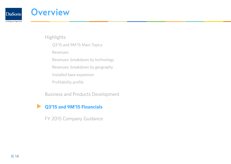

### **Overview**

**Highlights** 

Q3'15 and 9M'15 Main Topics

Revenues

Revenues: breakdown by technology

Revenues: breakdown by geography

Installed base expansion

Profitability profile

Business and Products Development

### **Q3'15 and 9M'15 Financials**

FY 2015 Company Guidance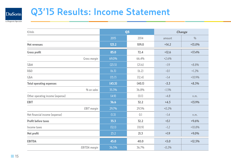### Q3'15 Results: Income Statement DiaSorin

| €/mln                            |        | Q <sub>3</sub> |         | Change        |  |
|----------------------------------|--------|----------------|---------|---------------|--|
|                                  | 2015   | 2014           | amount  | $\frac{0}{0}$ |  |
| <b>Net revenues</b>              | 123.2  | 109.0          | $+14.2$ | $+13.0%$      |  |
| <b>Gross profit</b>              | 85.0   | 72.4           | $+12.6$ | $+17.4%$      |  |
| Gross margin                     | 69.0%  | 66.4%          | $+2.6%$ |               |  |
| <b>S&amp;M</b>                   | (23.5) | (21.6)         | $-1.9$  | $+8.8%$       |  |
| R&D                              | (6.3)  | (6.2)          | $-0.1$  | $+1.2%$       |  |
| GδA                              | (13.7) | (12.4)         | $-1.4$  | $+10.9%$      |  |
| <b>Total operating expenses</b>  | (43.5) | (40.1)         | $-3.3$  | $+8.3%$       |  |
| % on sales                       | 35.3%  | 36.8%          | $-1.5%$ |               |  |
| Other operating income (expense) | (4.9)  | (0.1)          | $-4.8$  | n.m.          |  |
| <b>EBIT</b>                      | 36.6   | 32.2           | $+4.5$  | $+13.9%$      |  |
| <b>EBIT</b> margin               | 29.7%  | 29.5%          | $+0.2%$ |               |  |
| Net financial income (expense)   | (1.3)  | 0.1            | $-1.4$  | n.m.          |  |
| <b>Profit before taxes</b>       | 35.3   | 32.2           | $+3.1$  | $+9.6%$       |  |
| Income taxes                     | (12.1) | (10.9)         | $-1.2$  | $+10.8%$      |  |
| Net profit                       | 23.2   | 21.3           | $+1.9$  | $+9.0%$       |  |
| <b>EBITDA</b>                    | 45.0   | 40.0           | $+5.0$  | $+12.5%$      |  |
| <b>EBITDA</b> margin             | 36.5%  | 36.7%          | $-0.2%$ |               |  |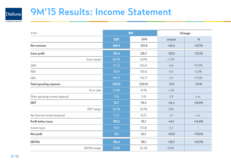

# 9M'15 Results: Income Statement

| $\epsilon$ /mln                  | <b>9M</b> |         | Change  |                          |
|----------------------------------|-----------|---------|---------|--------------------------|
|                                  | 2015      | 2014    | amount  | %                        |
| <b>Net revenues</b>              | 368.4     | 325.8   | $+42.6$ | $+13.1%$                 |
| <b>Gross profit</b>              | 251.4     | 218.3   | $+33.0$ | $+15.1%$                 |
| Gross margin                     | 68.2%     | 67.0%   | $+1.2%$ |                          |
| <b>S&amp;M</b>                   | (72.2)    | (65.6)  | $-6.6$  | $+10.0%$                 |
| R&D                              | (18.9)    | (18.6)  | $-0.4$  | $+2.0%$                  |
| G&A                              | (40.7)    | (36.7)  | $-4.1$  | $+11.0%$                 |
| <b>Total operating expenses</b>  | (131.9)   | (120.9) | $-11.0$ | $+9.1%$                  |
| % on sales                       | 35.8%     | 37.1%   | $-1.3%$ |                          |
| Other operating income (expense) | (7.8)     | (1.9)   | $-5.9$  | n.m.                     |
| <b>EBIT</b>                      | 111.7     | 95.5    | $+16.2$ | $+16.9%$                 |
| <b>EBIT</b> margin               | 30.3%     | 29.3%   | 1.0%    |                          |
| Net financial income (expense)   | (2.5)     | (0.5)   | $-2.1$  | n.m.                     |
| <b>Profit before taxes</b>       | 109.2     | 95.1    | $+14.1$ | $+14.8%$                 |
| Income taxes                     | (37.1)    | (33.8)  | $-3.3$  | $\overline{\phantom{a}}$ |
| Net profit                       | 72.1      | 61.3    | $+10.8$ | $+17.6%$                 |
| <b>EBITDA</b>                    | 136.4     | 118.1   | $+18.3$ | $+15.5%$                 |
| EBITDA margin                    | 37.0%     | 36.2%   | 0.8%    |                          |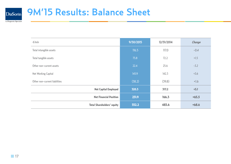

# 9M'15 Results: Balance Sheet

| $\epsilon$ /mln                   | 9/30/2015 | 12/31/2014 | Change  |
|-----------------------------------|-----------|------------|---------|
| Total intangible assets           | 116.5     | 117.0      | $-0.4$  |
| Total tangible assets             | 73.8      | 72.2       | $+1.5$  |
| Other non-current assets          | 22.4      | 25.6       | $-3.2$  |
| Net Working Capital               | 145.9     | 142.3      | $+3.6$  |
| Other non-current liabilities     | (38.2)    | (39.8)     | $+1.6$  |
| <b>Net Capital Employed</b>       | 320.3     | 317.2      | $+3.1$  |
| <b>Net Financial Position</b>     | 231.9     | 166.3      | $+65.5$ |
| <b>Total Shareholders' equity</b> | 552.2     | 483.6      | $+68.6$ |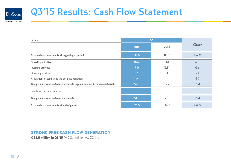

# Q3'15 Results: Cash Flow Statement

| $\epsilon$ /mln                                                                | Q <sub>3</sub>           |                          |         |
|--------------------------------------------------------------------------------|--------------------------|--------------------------|---------|
|                                                                                | 2015                     | 2014                     | Change  |
| Cash and cash equivalents at beginning of period                               | 141.6                    | 88.7                     | $+52.9$ |
| Operating activities                                                           | 40.6                     | 39.0                     | $+1.6$  |
| Investing activities                                                           | (5.4)                    | (6.8)                    | $+1.4$  |
| Financing activities                                                           | 0.7                      | 3.1                      | $-2.4$  |
| Acquisitions of companies and business operations                              | (1.0)                    | $\overline{\phantom{a}}$ | $-1.0$  |
| Change in net cash and cash equivalents before investments in financial assets | 34.9                     | 35.3                     | $-0.4$  |
| Investments in financial assets                                                | $\overline{\phantom{a}}$ | $\overline{\phantom{a}}$ |         |
| Change in net cash and cash equivalents                                        | 34.9                     | 35.3                     | $-0.4$  |
| Cash and cash equivalents at end of period                                     | 176.5                    | 124.0                    | $+52.5$ |

#### Strong Free Cash Flow generation

€ 35.5 million in Q3'15 ( $+ \tisin 3.4$  million vs. Q3'14)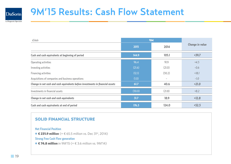

# 9M'15 Results: Cash Flow Statement

| E/m/n                                                                          | <b>9M</b> |                          |                        |
|--------------------------------------------------------------------------------|-----------|--------------------------|------------------------|
|                                                                                | 2015      | 2014                     | <b>Change in value</b> |
| Cash and cash equivalents at beginning of period                               | 144.9     | 105.1                    | $+39.7$                |
| Operating activities                                                           | 96.4      | 91.9                     | $+4.5$                 |
| Investing activities                                                           | (21.6)    | (21.0)                   | $-0.6$                 |
| Financing activities                                                           | (12.1)    | (30.2)                   | $+18.1$                |
| Acquisitions of companies and business operations                              | (1.0)     | $\overline{\phantom{a}}$ | $-1.0$                 |
| Change in net cash and cash equivalents before investments in financial assets | 61.7      | 40.6                     | $+21.0$                |
| Investments in financial assets                                                | (30.0)    | (21.8)                   | $+8.2$                 |
| Change in net cash and cash equivalents                                        | 31.7      | 18.9                     | $+12.8$                |
| Cash and cash equivalents at end of period                                     | 176.5     | 124.0                    | $+52.5$                |

#### Solid financial structure

**Net Financial Position**

◆ **€ 231.9 million** (+  $\epsilon$  65.5 million vs. Dec 31<sup>st</sup>, 2014)

**Strong Free Cash Flow generation**

◆ € 74.8 million in 9M'15 (+  $\in$  3.6 million vs. 9M'14)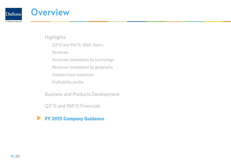

### **Overview**

**Highlights** 

Q3'15 and 9M'15 Main Topics

Revenues

Revenues: breakdown by technology

Revenues: breakdown by geography

Installed base expansion

Profitability profile

Business and Products Development

Q3'15 and 9M'15 Financials

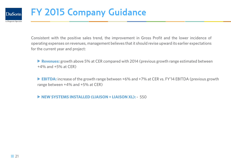

# FY 2015 Company Guidance

Consistent with the positive sales trend, the improvement in Gross Profit and the lower incidence of operating expenses on revenues, management believes that it should revise upward its earlier expectations for the current year and project:

▶ **Revenues:** growth above 5% at CER compared with 2014 (previous growth range estimated between +4% and +5% at CER)

**EBITDA:** increase of the growth range between +6% and +7% at CER vs. FY'14 EBITDA (previous growth range between +4% and +5% at CER)

**New systems installed (Liaison + Liaison XL):** ~ 550